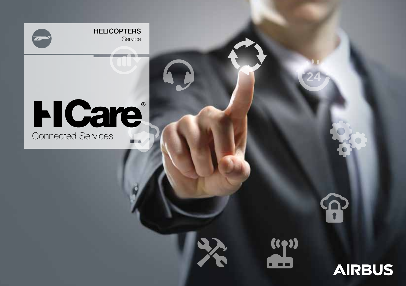

**HELICOPTERS** Service

### Connected Services **HCare®**

**AIRBUS** 

**((e))**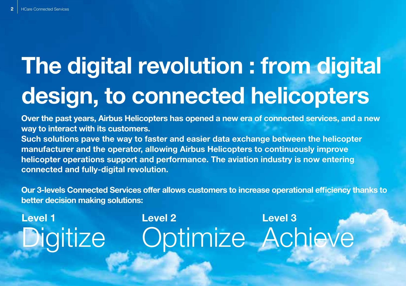### The digital revolution : from digital design, to connected helicopters

Over the past years, Airbus Helicopters has opened a new era of connected services, and a new way to interact with its customers.

Such solutions pave the way to faster and easier data exchange between the helicopter manufacturer and the operator, allowing Airbus Helicopters to continuously improve helicopter operations support and performance. The aviation industry is now entering connected and fully-digital revolution.

Our 3-levels Connected Services offer allows customers to increase operational efficiency thanks to better decision making solutions:

Level 1 **Digitize**  Level 2 Optimize AchieveLevel 3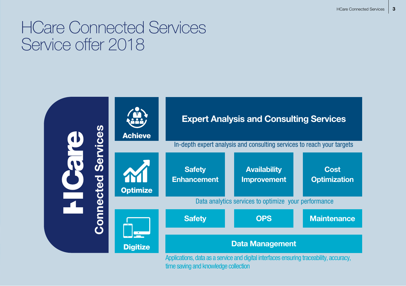### HCare Connected Services Service offer 2018



time saving and knowledge collection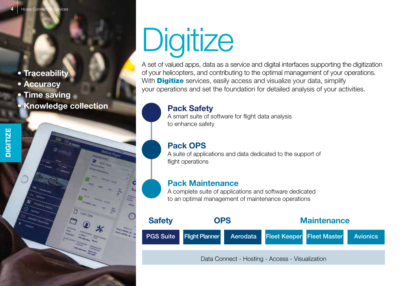- **Traceability**
- Accuracy
- Time saving
- Knowledge collection

# **Digitize**

A set of valued apps, data as a service and digital interfaces supporting the digitization of your helicopters, and contributing to the optimal management of your operations. With **Digitize** services, easily access and visualize your data, simplify your operations and set the foundation for detailed analysis of your activities.

#### Pack Safety

A smart suite of software for flight data analysis to enhance safety

#### Pack OPS

A suite of applications and data dedicated to the support of flight operations

#### Pack Maintenance

A complete suite of applications and software dedicated to an optimal management of maintenance operations



Data Connect - Hosting - Access - Visualization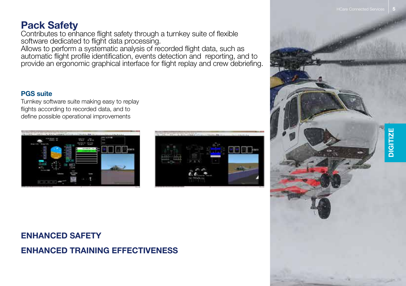#### Pack Safety

Contributes to enhance flight safety through a turnkey suite of flexible software dedicated to flight data processing.

Allows to perform a systematic analysis of recorded flight data, such as automatic flight profile identification, events detection and reporting, and to provide an ergonomic graphical interface for flight replay and crew debriefing.

#### PGS suite

Turnkey software suite making easy to replay flights according to recorded data, and to define possible operational improvements





ENHANCED SAFETY ENHANCED TRAINING EFFECTIVENESS

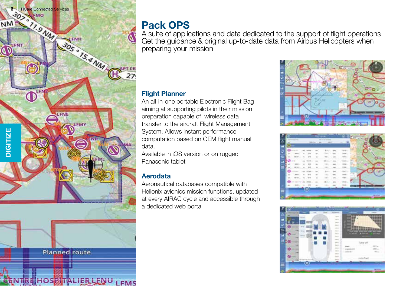

### Pack OPS

A suite of applications and data dedicated to the support of flight operations Get the guidance & original up-to-date data from Airbus Helicopters when preparing your mission

#### Flight Planner

An all-in-one portable Electronic Flight Bag aiming at supporting pilots in their mission preparation capable of wireless data transfer to the aircraft Flight Management System. Allows instant performance computation based on OEM flight manual data.

Available in iOS version or on rugged Panasonic tablet

#### Aerodata

Aeronautical databases compatible with Helionix avionics mission functions, updated at every AIRAC cycle and accessible through a dedicated web portal





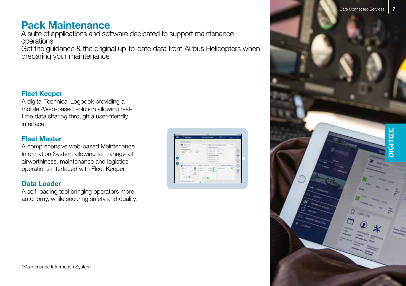#### Pack Maintenance

A suite of applications and software dedicated to support maintenance operations Get the guidance & the original up-to-date data from Airbus Helicopters when preparing your maintenance

#### Fleet Keeper

A digital Technical Logbook providing a mobile /Web-based solution allowing realtime data sharing through a user-friendly interface

#### Fleet Master

A comprehensive web-based Maintenance Information System allowing to manage all airworthiness, maintenance and logistics operations interfaced with Fleet Keeper

#### Data Loader

A self-loading tool bringing operators more autonomy, while securing safety and quality.





 $\parallel$  - HCare Connected Services  $\parallel$  -  $\parallel$  -  $\parallel$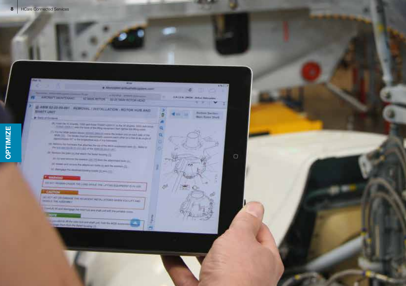**OPTIMIZE** 

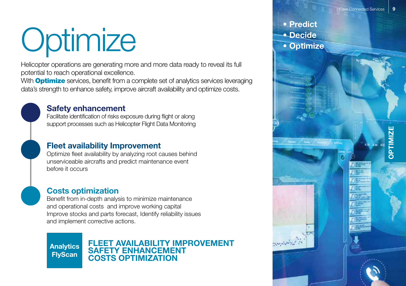## **Optimize**

Helicopter operations are generating more and more data ready to reveal its full potential to reach operational excellence.

With **Optimize** services, benefit from a complete set of analytics services leveraging data's strength to enhance safety, improve aircraft availability and optimize costs.

#### Safety enhancement

Facilitate identification of risks exposure during flight or along support processes such as Helicopter Flight Data Monitoring

#### Fleet availability Improvement

Optimize fleet availability by analyzing root causes behind unserviceable aircrafts and predict maintenance event before it occurs

#### Costs optimization

Benefit from in-depth analysis to minimize maintenance and operational costs and improve working capital Improve stocks and parts forecast, Identify reliability issues and implement corrective actions.

**Analytics FlyScan** 

#### FLEET AVAILABILITY IMPROVEMENT SAFETY ENHANCEMENT COSTS OPTIMIZATION

• Predict • Decide

• Optimize

Care Connected Services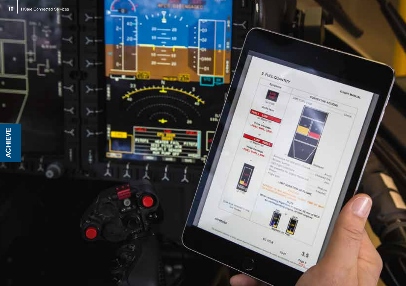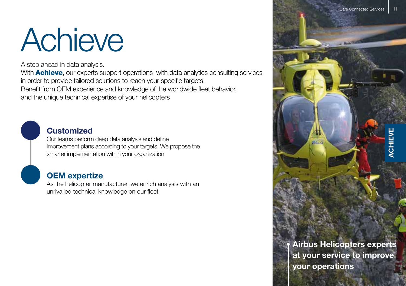## Achieve

A step ahead in data analysis.

With **Achieve**, our experts support operations with data analytics consulting services in order to provide tailored solutions to reach your specific targets. Benefit from OEM experience and knowledge of the worldwide fleet behavior, and the unique technical expertise of your helicopters

#### **Customized**

Our teams perform deep data analysis and define improvement plans according to your targets. We propose the smarter implementation within your organization

#### OEM expertize

As the helicopter manufacturer, we enrich analysis with an unrivalled technical knowledge on our fleet

> • Airbus Helicopters experts at your service to improve your operations

HCare Connected Services 111

ACHIEVE

NCHIEVE